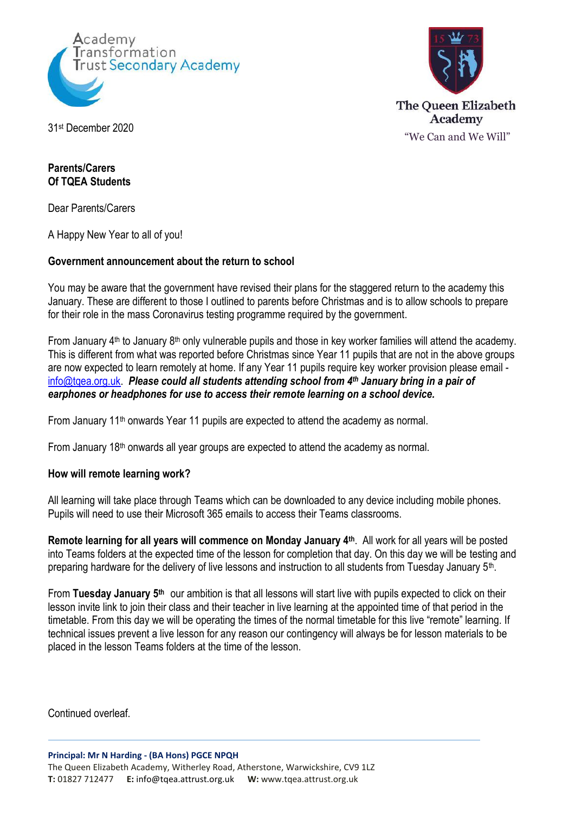



31st December 2020

## **Parents/Carers Of TQEA Students**

Dear Parents/Carers

A Happy New Year to all of you!

## **Government announcement about the return to school**

You may be aware that the government have revised their plans for the staggered return to the academy this January. These are different to those I outlined to parents before Christmas and is to allow schools to prepare for their role in the mass Coronavirus testing programme required by the government.

From January  $4<sup>th</sup>$  to January  $8<sup>th</sup>$  only vulnerable pupils and those in key worker families will attend the academy. This is different from what was reported before Christmas since Year 11 pupils that are not in the above groups are now expected to learn remotely at home. If any Year 11 pupils require key worker provision please email [info@tqea.org.uk.](mailto:info@tqea.org.uk) *Please could all students attending school from 4th January bring in a pair of earphones or headphones for use to access their remote learning on a school device.*

From January 11<sup>th</sup> onwards Year 11 pupils are expected to attend the academy as normal.

From January  $18<sup>th</sup>$  onwards all year groups are expected to attend the academy as normal.

## **How will remote learning work?**

All learning will take place through Teams which can be downloaded to any device including mobile phones. Pupils will need to use their Microsoft 365 emails to access their Teams classrooms.

**Remote learning for all years will commence on Monday January 4th**. All work for all years will be posted into Teams folders at the expected time of the lesson for completion that day. On this day we will be testing and preparing hardware for the delivery of live lessons and instruction to all students from Tuesday January 5<sup>th</sup>.

From **Tuesday January 5th** our ambition is that all lessons will start live with pupils expected to click on their lesson invite link to join their class and their teacher in live learning at the appointed time of that period in the timetable. From this day we will be operating the times of the normal timetable for this live "remote" learning. If technical issues prevent a live lesson for any reason our contingency will always be for lesson materials to be placed in the lesson Teams folders at the time of the lesson.

Continued overleaf.